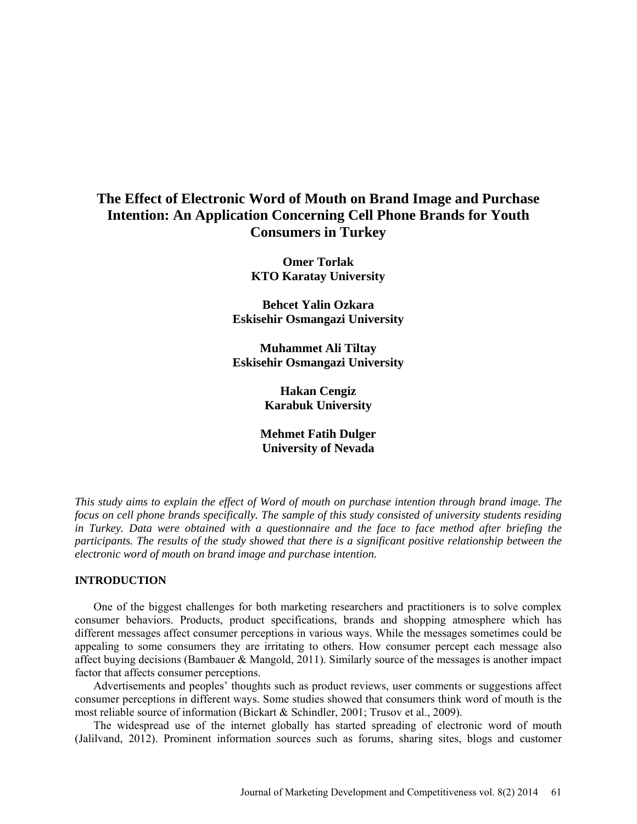# **The Effect of Electronic Word of Mouth on Brand Image and Purchase Intention: An Application Concerning Cell Phone Brands for Youth Consumers in Turkey**

**Omer Torlak KTO Karatay University**

**Behcet Yalin Ozkara Eskisehir Osmangazi University**

**Muhammet Ali Tiltay Eskisehir Osmangazi University**

> **Hakan Cengiz Karabuk University**

**Mehmet Fatih Dulger University of Nevada**

*This study aims to explain the effect of Word of mouth on purchase intention through brand image. The focus on cell phone brands specifically. The sample of this study consisted of university students residing in Turkey. Data were obtained with a questionnaire and the face to face method after briefing the participants. The results of the study showed that there is a significant positive relationship between the electronic word of mouth on brand image and purchase intention.* 

# **INTRODUCTION**

One of the biggest challenges for both marketing researchers and practitioners is to solve complex consumer behaviors. Products, product specifications, brands and shopping atmosphere which has different messages affect consumer perceptions in various ways. While the messages sometimes could be appealing to some consumers they are irritating to others. How consumer percept each message also affect buying decisions (Bambauer & Mangold, 2011). Similarly source of the messages is another impact factor that affects consumer perceptions.

Advertisements and peoples' thoughts such as product reviews, user comments or suggestions affect consumer perceptions in different ways. Some studies showed that consumers think word of mouth is the most reliable source of information (Bickart & Schindler, 2001; Trusov et al., 2009).

The widespread use of the internet globally has started spreading of electronic word of mouth (Jalilvand, 2012). Prominent information sources such as forums, sharing sites, blogs and customer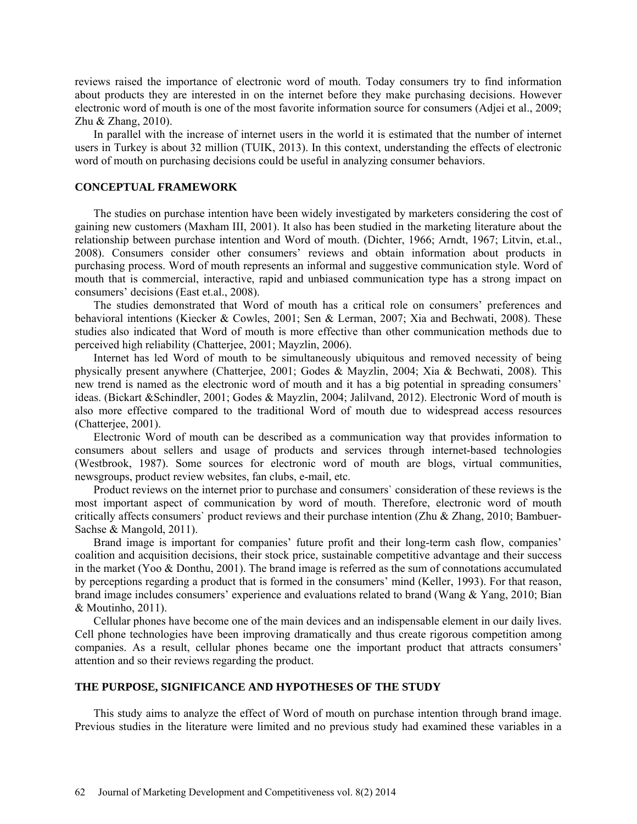reviews raised the importance of electronic word of mouth. Today consumers try to find information about products they are interested in on the internet before they make purchasing decisions. However electronic word of mouth is one of the most favorite information source for consumers (Adjei et al., 2009; Zhu & Zhang, 2010).

In parallel with the increase of internet users in the world it is estimated that the number of internet users in Turkey is about 32 million (TUIK, 2013). In this context, understanding the effects of electronic word of mouth on purchasing decisions could be useful in analyzing consumer behaviors.

#### **CONCEPTUAL FRAMEWORK**

The studies on purchase intention have been widely investigated by marketers considering the cost of gaining new customers (Maxham III, 2001). It also has been studied in the marketing literature about the relationship between purchase intention and Word of mouth. (Dichter, 1966; Arndt, 1967; Litvin, et.al., 2008). Consumers consider other consumers' reviews and obtain information about products in purchasing process. Word of mouth represents an informal and suggestive communication style. Word of mouth that is commercial, interactive, rapid and unbiased communication type has a strong impact on consumers' decisions (East et.al., 2008).

The studies demonstrated that Word of mouth has a critical role on consumers' preferences and behavioral intentions (Kiecker & Cowles, 2001; Sen & Lerman, 2007; Xia and Bechwati, 2008). These studies also indicated that Word of mouth is more effective than other communication methods due to perceived high reliability (Chatterjee, 2001; Mayzlin, 2006).

Internet has led Word of mouth to be simultaneously ubiquitous and removed necessity of being physically present anywhere (Chatterjee, 2001; Godes & Mayzlin, 2004; Xia & Bechwati, 2008). This new trend is named as the electronic word of mouth and it has a big potential in spreading consumers' ideas. (Bickart &Schindler, 2001; Godes & Mayzlin, 2004; Jalilvand, 2012). Electronic Word of mouth is also more effective compared to the traditional Word of mouth due to widespread access resources (Chatterjee, 2001).

Electronic Word of mouth can be described as a communication way that provides information to consumers about sellers and usage of products and services through internet-based technologies (Westbrook, 1987). Some sources for electronic word of mouth are blogs, virtual communities, newsgroups, product review websites, fan clubs, e-mail, etc.

Product reviews on the internet prior to purchase and consumers` consideration of these reviews is the most important aspect of communication by word of mouth. Therefore, electronic word of mouth critically affects consumers` product reviews and their purchase intention (Zhu & Zhang, 2010; Bambuer-Sachse & Mangold, 2011).

Brand image is important for companies' future profit and their long-term cash flow, companies' coalition and acquisition decisions, their stock price, sustainable competitive advantage and their success in the market (Yoo & Donthu, 2001). The brand image is referred as the sum of connotations accumulated by perceptions regarding a product that is formed in the consumers' mind (Keller, 1993). For that reason, brand image includes consumers' experience and evaluations related to brand (Wang & Yang, 2010; Bian & Moutinho, 2011).

Cellular phones have become one of the main devices and an indispensable element in our daily lives. Cell phone technologies have been improving dramatically and thus create rigorous competition among companies. As a result, cellular phones became one the important product that attracts consumers' attention and so their reviews regarding the product.

# **THE PURPOSE, SIGNIFICANCE AND HYPOTHESES OF THE STUDY**

This study aims to analyze the effect of Word of mouth on purchase intention through brand image. Previous studies in the literature were limited and no previous study had examined these variables in a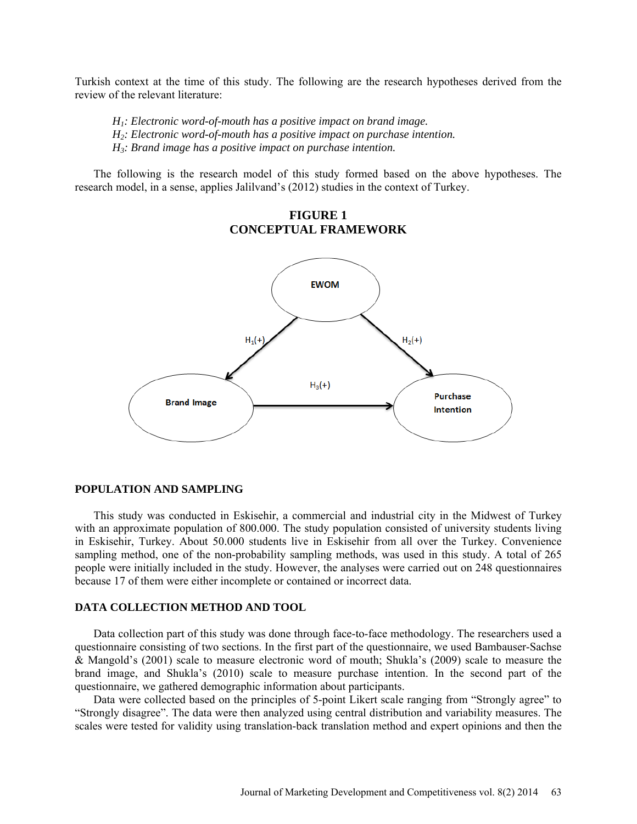Turkish context at the time of this study. The following are the research hypotheses derived from the review of the relevant literature:

*H1: Electronic word-of-mouth has a positive impact on brand image. H2: Electronic word-of-mouth has a positive impact on purchase intention. H3: Brand image has a positive impact on purchase intention.*

The following is the research model of this study formed based on the above hypotheses. The research model, in a sense, applies Jalilvand's (2012) studies in the context of Turkey.

# **FIGURE 1 CONCEPTUAL FRAMEWORK**



#### **POPULATION AND SAMPLING**

This study was conducted in Eskisehir, a commercial and industrial city in the Midwest of Turkey with an approximate population of 800.000. The study population consisted of university students living in Eskisehir, Turkey. About 50.000 students live in Eskisehir from all over the Turkey. Convenience sampling method, one of the non-probability sampling methods, was used in this study. A total of 265 people were initially included in the study. However, the analyses were carried out on 248 questionnaires because 17 of them were either incomplete or contained or incorrect data.

#### **DATA COLLECTION METHOD AND TOOL**

Data collection part of this study was done through face-to-face methodology. The researchers used a questionnaire consisting of two sections. In the first part of the questionnaire, we used Bambauser-Sachse & Mangold's (2001) scale to measure electronic word of mouth; Shukla's (2009) scale to measure the brand image, and Shukla's (2010) scale to measure purchase intention. In the second part of the questionnaire, we gathered demographic information about participants.

Data were collected based on the principles of 5-point Likert scale ranging from "Strongly agree" to "Strongly disagree". The data were then analyzed using central distribution and variability measures. The scales were tested for validity using translation-back translation method and expert opinions and then the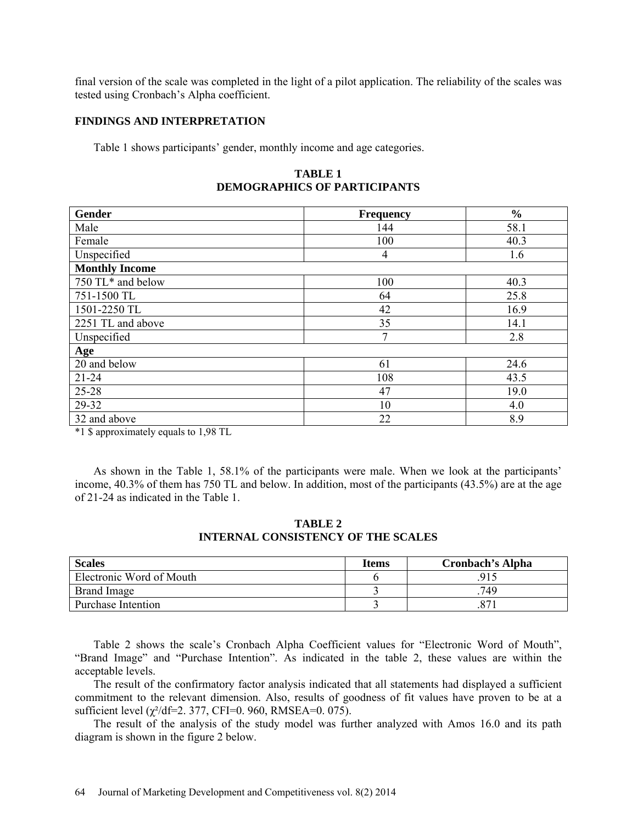final version of the scale was completed in the light of a pilot application. The reliability of the scales was tested using Cronbach's Alpha coefficient.

#### **FINDINGS AND INTERPRETATION**

Table 1 shows participants' gender, monthly income and age categories.

**TABLE 1 DEMOGRAPHICS OF PARTICIPANTS**

| Gender                | <b>Frequency</b> | $\frac{0}{0}$ |  |  |
|-----------------------|------------------|---------------|--|--|
| Male                  | 144              | 58.1          |  |  |
| Female                | 100              | 40.3          |  |  |
| Unspecified           | 4                | 1.6           |  |  |
| <b>Monthly Income</b> |                  |               |  |  |
| 750 TL* and below     | 100              | 40.3          |  |  |
| 751-1500 TL           | 64               | 25.8          |  |  |
| 1501-2250 TL          | 42               | 16.9          |  |  |
| 2251 TL and above     | 35               | 14.1          |  |  |
| Unspecified           | $\mathcal{I}$    | 2.8           |  |  |
| Age                   |                  |               |  |  |
| 20 and below          | 61               | 24.6          |  |  |
| $21 - 24$             | 108              | 43.5          |  |  |
| 25-28                 | 47               | 19.0          |  |  |
| 29-32                 | 10               | 4.0           |  |  |
| 32 and above          | 22               | 8.9           |  |  |

\*1 \$ approximately equals to 1,98 TL

As shown in the Table 1, 58.1% of the participants were male. When we look at the participants' income, 40.3% of them has 750 TL and below. In addition, most of the participants (43.5%) are at the age of 21-24 as indicated in the Table 1.

**TABLE 2 INTERNAL CONSISTENCY OF THE SCALES**

| <b>Scales</b>            | <b>Items</b> | <b>Cronbach's Alpha</b> |
|--------------------------|--------------|-------------------------|
| Electronic Word of Mouth |              | .915                    |
| Brand Image              |              | 749                     |
| Purchase Intention       |              |                         |

Table 2 shows the scale's Cronbach Alpha Coefficient values for "Electronic Word of Mouth", "Brand Image" and "Purchase Intention". As indicated in the table 2, these values are within the acceptable levels.

The result of the confirmatory factor analysis indicated that all statements had displayed a sufficient commitment to the relevant dimension. Also, results of goodness of fit values have proven to be at a sufficient level  $(\gamma^2/df=2.377, CFI=0.960, RMSEA=0.075)$ .

The result of the analysis of the study model was further analyzed with Amos 16.0 and its path diagram is shown in the figure 2 below.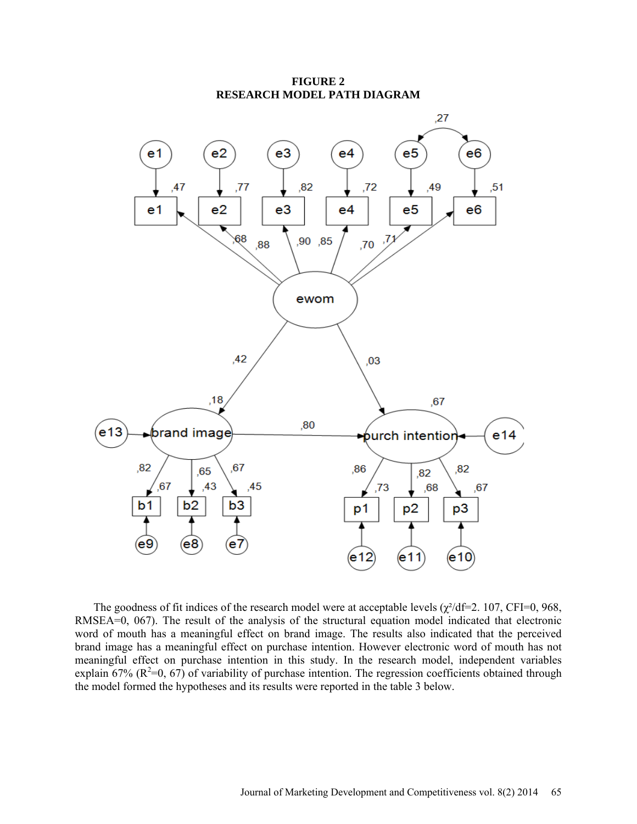

**FIGURE 2 RESEARCH MODEL PATH DIAGRAM** 

The goodness of fit indices of the research model were at acceptable levels ( $\gamma^2$ /df=2. 107, CFI=0, 968, RMSEA=0, 067). The result of the analysis of the structural equation model indicated that electronic word of mouth has a meaningful effect on brand image. The results also indicated that the perceived brand image has a meaningful effect on purchase intention. However electronic word of mouth has not meaningful effect on purchase intention in this study. In the research model, independent variables explain 67%  $(R^2=0, 67)$  of variability of purchase intention. The regression coefficients obtained through the model formed the hypotheses and its results were reported in the table 3 below.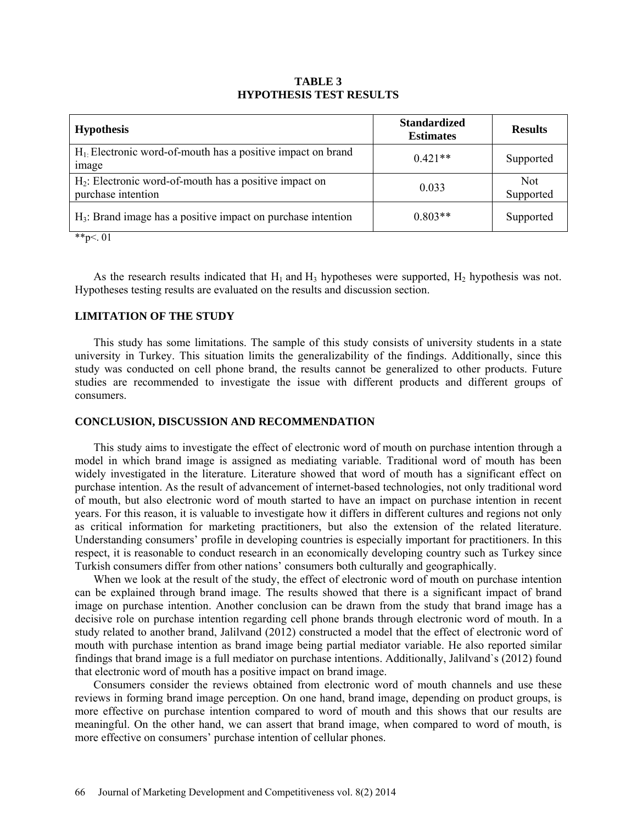# **TABLE 3 HYPOTHESIS TEST RESULTS**

| <b>Hypothesis</b>                                                                                                                  | <b>Standardized</b><br><b>Estimates</b> | <b>Results</b>          |
|------------------------------------------------------------------------------------------------------------------------------------|-----------------------------------------|-------------------------|
| $H_1$ : Electronic word-of-mouth has a positive impact on brand<br>image                                                           | $0.421**$                               | Supported               |
| $H_2$ : Electronic word-of-mouth has a positive impact on<br>purchase intention                                                    | 0.033                                   | <b>Not</b><br>Supported |
| $H_3$ : Brand image has a positive impact on purchase intention<br>$\mathbf{a}$ and $\mathbf{a}$ and $\mathbf{a}$ and $\mathbf{a}$ | $0.803**$                               | Supported               |

\*\*p $<$ . 01

As the research results indicated that  $H_1$  and  $H_3$  hypotheses were supported,  $H_2$  hypothesis was not. Hypotheses testing results are evaluated on the results and discussion section.

# **LIMITATION OF THE STUDY**

This study has some limitations. The sample of this study consists of university students in a state university in Turkey. This situation limits the generalizability of the findings. Additionally, since this study was conducted on cell phone brand, the results cannot be generalized to other products. Future studies are recommended to investigate the issue with different products and different groups of consumers.

# **CONCLUSION, DISCUSSION AND RECOMMENDATION**

This study aims to investigate the effect of electronic word of mouth on purchase intention through a model in which brand image is assigned as mediating variable. Traditional word of mouth has been widely investigated in the literature. Literature showed that word of mouth has a significant effect on purchase intention. As the result of advancement of internet-based technologies, not only traditional word of mouth, but also electronic word of mouth started to have an impact on purchase intention in recent years. For this reason, it is valuable to investigate how it differs in different cultures and regions not only as critical information for marketing practitioners, but also the extension of the related literature. Understanding consumers' profile in developing countries is especially important for practitioners. In this respect, it is reasonable to conduct research in an economically developing country such as Turkey since Turkish consumers differ from other nations' consumers both culturally and geographically.

When we look at the result of the study, the effect of electronic word of mouth on purchase intention can be explained through brand image. The results showed that there is a significant impact of brand image on purchase intention. Another conclusion can be drawn from the study that brand image has a decisive role on purchase intention regarding cell phone brands through electronic word of mouth. In a study related to another brand, Jalilvand (2012) constructed a model that the effect of electronic word of mouth with purchase intention as brand image being partial mediator variable. He also reported similar findings that brand image is a full mediator on purchase intentions. Additionally, Jalilvand`s (2012) found that electronic word of mouth has a positive impact on brand image.

Consumers consider the reviews obtained from electronic word of mouth channels and use these reviews in forming brand image perception. On one hand, brand image, depending on product groups, is more effective on purchase intention compared to word of mouth and this shows that our results are meaningful. On the other hand, we can assert that brand image, when compared to word of mouth, is more effective on consumers' purchase intention of cellular phones.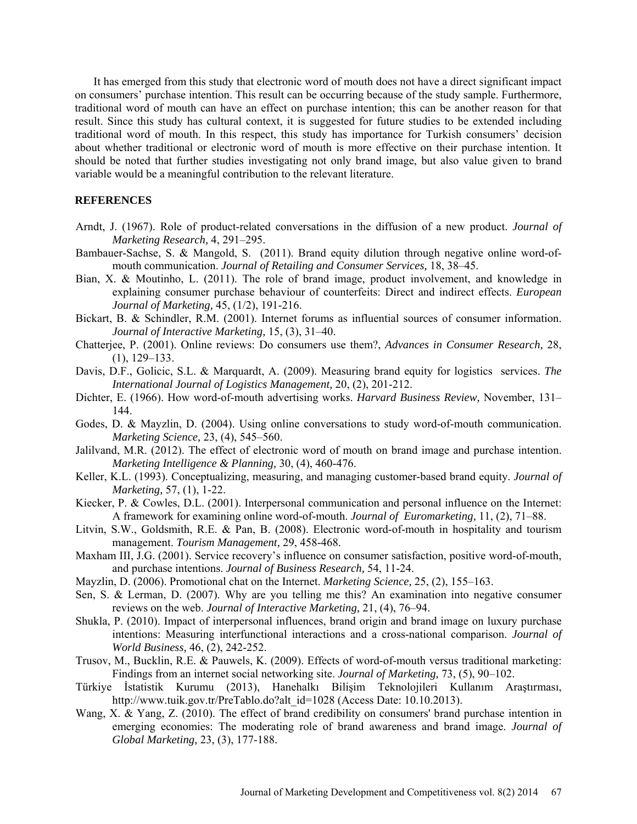It has emerged from this study that electronic word of mouth does not have a direct significant impact on consumers' purchase intention. This result can be occurring because of the study sample. Furthermore, traditional word of mouth can have an effect on purchase intention; this can be another reason for that result. Since this study has cultural context, it is suggested for future studies to be extended including traditional word of mouth. In this respect, this study has importance for Turkish consumers' decision about whether traditional or electronic word of mouth is more effective on their purchase intention. It should be noted that further studies investigating not only brand image, but also value given to brand variable would be a meaningful contribution to the relevant literature.

# **REFERENCES**

- Arndt, J. (1967). Role of product-related conversations in the diffusion of a new product. *Journal of Marketing Research,* 4, 291–295.
- Bambauer-Sachse, S. & Mangold, S. (2011). Brand equity dilution through negative online word-ofmouth communication. *Journal of Retailing and Consumer Services,* 18, 38–45.
- Bian, X. & Moutinho, L. (2011). The role of brand image, product involvement, and knowledge in explaining consumer purchase behaviour of counterfeits: Direct and indirect effects. *European Journal of Marketing,* 45, (1/2), 191-216.
- Bickart, B. & Schindler, R.M. (2001). Internet forums as influential sources of consumer information. *Journal of Interactive Marketing,* 15, (3), 31–40.
- Chatterjee, P. (2001). Online reviews: Do consumers use them?, *Advances in Consumer Research,* 28, (1), 129–133.
- Davis, D.F., Golicic, S.L. & Marquardt, A. (2009). Measuring brand equity for logistics services. *The International Journal of Logistics Management,* 20, (2), 201-212.
- Dichter, E. (1966). How word-of-mouth advertising works. *Harvard Business Review,* November, 131– 144.
- Godes, D. & Mayzlin, D. (2004). Using online conversations to study word-of-mouth communication. *Marketing Science,* 23, (4), 545–560.
- Jalilvand, M.R. (2012). The effect of electronic word of mouth on brand image and purchase intention. *Marketing Intelligence & Planning,* 30, (4), 460-476.
- Keller, K.L. (1993). Conceptualizing, measuring, and managing customer-based brand equity. *Journal of Marketing,* 57, (1), 1-22.
- Kiecker, P. & Cowles, D.L. (2001). Interpersonal communication and personal influence on the Internet: A framework for examining online word-of-mouth. *Journal of Euromarketing,* 11, (2), 71–88.
- Litvin, S.W., Goldsmith, R.E. & Pan, B. (2008). Electronic word-of-mouth in hospitality and tourism management. *Tourism Management,* 29, 458-468.
- Maxham III, J.G. (2001). Service recovery's influence on consumer satisfaction, positive word-of-mouth, and purchase intentions. *Journal of Business Research,* 54, 11-24.
- Mayzlin, D. (2006). Promotional chat on the Internet. *Marketing Science,* 25, (2), 155–163.
- Sen, S. & Lerman, D. (2007). Why are you telling me this? An examination into negative consumer reviews on the web. *Journal of Interactive Marketing,* 21, (4), 76–94.
- Shukla, P. (2010). Impact of interpersonal influences, brand origin and brand image on luxury purchase intentions: Measuring interfunctional interactions and a cross-national comparison. *Journal of World Business,* 46, (2), 242-252.
- Trusov, M., Bucklin, R.E. & Pauwels, K. (2009). Effects of word-of-mouth versus traditional marketing: Findings from an internet social networking site. *Journal of Marketing,* 73, (5), 90–102.
- Türkiye İstatistik Kurumu (2013), Hanehalkı Bilişim Teknolojileri Kullanım Araştırması, http://www.tuik.gov.tr/PreTablo.do?alt\_id=1028 (Access Date: 10.10.2013).
- Wang, X. & Yang, Z. (2010). The effect of brand credibility on consumers' brand purchase intention in emerging economies: The moderating role of brand awareness and brand image. *Journal of Global Marketing,* 23, (3), 177-188.